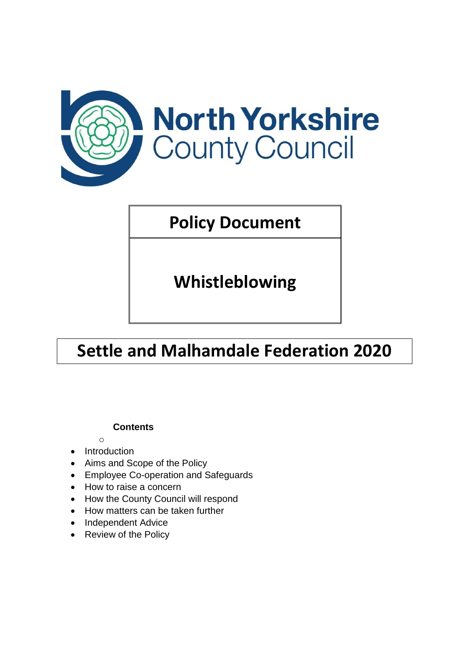

# **Policy Document**

**Whistleblowing** 

# **Settle and Malhamdale Federation 2020**

## **Contents**

- o • Introduction
- Aims and Scope of the Policy
- Employee Co-operation and Safeguards
- How to raise a concern
- How the County Council will respond
- How matters can be taken further
- Independent Advice
- Review of the Policy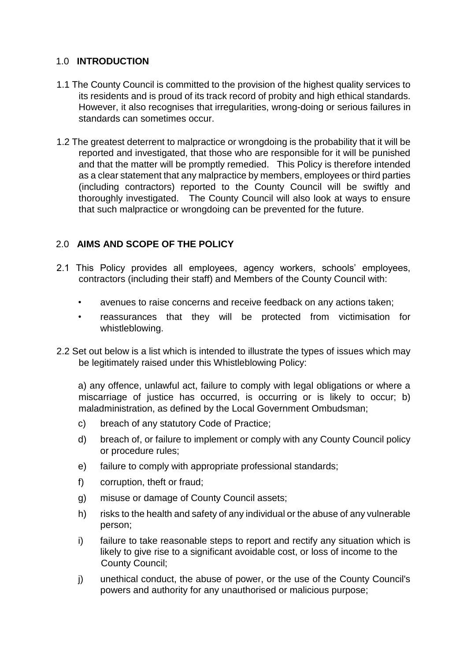## 1.0 **INTRODUCTION**

- 1.1 The County Council is committed to the provision of the highest quality services to its residents and is proud of its track record of probity and high ethical standards. However, it also recognises that irregularities, wrong-doing or serious failures in standards can sometimes occur.
- 1.2 The greatest deterrent to malpractice or wrongdoing is the probability that it will be reported and investigated, that those who are responsible for it will be punished and that the matter will be promptly remedied. This Policy is therefore intended as a clear statement that any malpractice by members, employees or third parties (including contractors) reported to the County Council will be swiftly and thoroughly investigated. The County Council will also look at ways to ensure that such malpractice or wrongdoing can be prevented for the future.

## 2.0 **AIMS AND SCOPE OF THE POLICY**

- 2.1 This Policy provides all employees, agency workers, schools' employees, contractors (including their staff) and Members of the County Council with:
	- avenues to raise concerns and receive feedback on any actions taken;
	- reassurances that they will be protected from victimisation for whistleblowing.
- 2.2 Set out below is a list which is intended to illustrate the types of issues which may be legitimately raised under this Whistleblowing Policy:

a) any offence, unlawful act, failure to comply with legal obligations or where a miscarriage of justice has occurred, is occurring or is likely to occur; b) maladministration, as defined by the Local Government Ombudsman;

- c) breach of any statutory Code of Practice;
- d) breach of, or failure to implement or comply with any County Council policy or procedure rules;
- e) failure to comply with appropriate professional standards;
- f) corruption, theft or fraud;
- g) misuse or damage of County Council assets;
- h) risks to the health and safety of any individual or the abuse of any vulnerable person;
- i) failure to take reasonable steps to report and rectify any situation which is likely to give rise to a significant avoidable cost, or loss of income to the County Council;
- j) unethical conduct, the abuse of power, or the use of the County Council's powers and authority for any unauthorised or malicious purpose;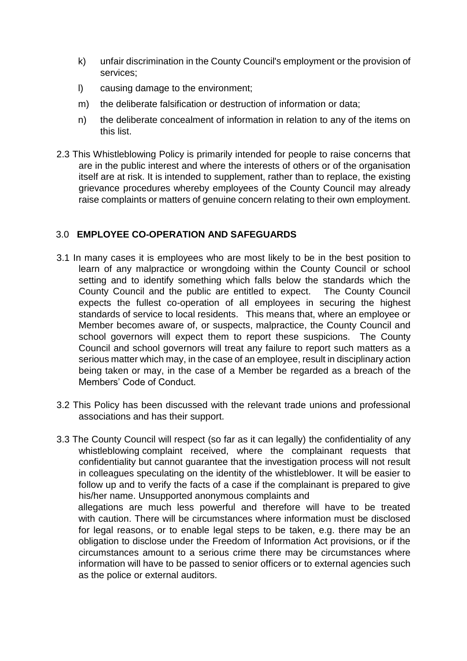- k) unfair discrimination in the County Council's employment or the provision of services;
- l) causing damage to the environment;
- m) the deliberate falsification or destruction of information or data;
- n) the deliberate concealment of information in relation to any of the items on this list.
- 2.3 This Whistleblowing Policy is primarily intended for people to raise concerns that are in the public interest and where the interests of others or of the organisation itself are at risk. It is intended to supplement, rather than to replace, the existing grievance procedures whereby employees of the County Council may already raise complaints or matters of genuine concern relating to their own employment.

## 3.0 **EMPLOYEE CO-OPERATION AND SAFEGUARDS**

- 3.1 In many cases it is employees who are most likely to be in the best position to learn of any malpractice or wrongdoing within the County Council or school setting and to identify something which falls below the standards which the County Council and the public are entitled to expect. The County Council expects the fullest co-operation of all employees in securing the highest standards of service to local residents. This means that, where an employee or Member becomes aware of, or suspects, malpractice, the County Council and school governors will expect them to report these suspicions. The County Council and school governors will treat any failure to report such matters as a serious matter which may, in the case of an employee, result in disciplinary action being taken or may, in the case of a Member be regarded as a breach of the Members' Code of Conduct.
- 3.2 This Policy has been discussed with the relevant trade unions and professional associations and has their support.
- 3.3 The County Council will respect (so far as it can legally) the confidentiality of any whistleblowing complaint received, where the complainant requests that confidentiality but cannot guarantee that the investigation process will not result in colleagues speculating on the identity of the whistleblower. It will be easier to follow up and to verify the facts of a case if the complainant is prepared to give his/her name. Unsupported anonymous complaints and allegations are much less powerful and therefore will have to be treated with caution. There will be circumstances where information must be disclosed for legal reasons, or to enable legal steps to be taken, e.g. there may be an obligation to disclose under the Freedom of Information Act provisions, or if the circumstances amount to a serious crime there may be circumstances where information will have to be passed to senior officers or to external agencies such as the police or external auditors.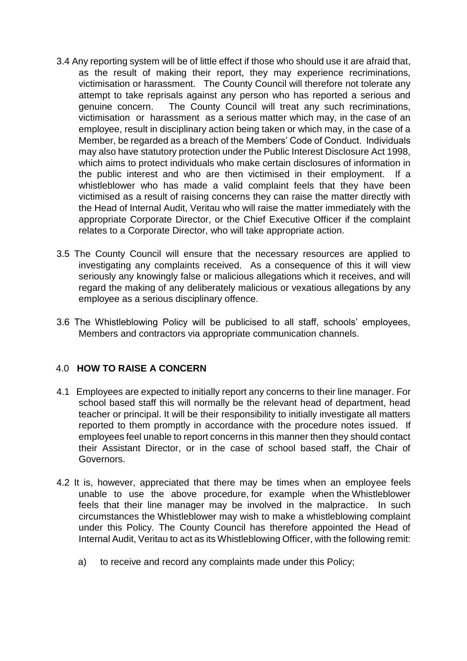- 3.4 Any reporting system will be of little effect if those who should use it are afraid that, as the result of making their report, they may experience recriminations, victimisation or harassment. The County Council will therefore not tolerate any attempt to take reprisals against any person who has reported a serious and genuine concern. The County Council will treat any such recriminations, victimisation or harassment as a serious matter which may, in the case of an employee, result in disciplinary action being taken or which may, in the case of a Member, be regarded as a breach of the Members' Code of Conduct. Individuals may also have statutory protection under the Public Interest Disclosure Act 1998, which aims to protect individuals who make certain disclosures of information in the public interest and who are then victimised in their employment. If a whistleblower who has made a valid complaint feels that they have been victimised as a result of raising concerns they can raise the matter directly with the Head of Internal Audit, Veritau who will raise the matter immediately with the appropriate Corporate Director, or the Chief Executive Officer if the complaint relates to a Corporate Director, who will take appropriate action.
- 3.5 The County Council will ensure that the necessary resources are applied to investigating any complaints received. As a consequence of this it will view seriously any knowingly false or malicious allegations which it receives, and will regard the making of any deliberately malicious or vexatious allegations by any employee as a serious disciplinary offence.
- 3.6 The Whistleblowing Policy will be publicised to all staff, schools' employees, Members and contractors via appropriate communication channels.

#### 4.0 **HOW TO RAISE A CONCERN**

- 4.1 Employees are expected to initially report any concerns to their line manager. For school based staff this will normally be the relevant head of department, head teacher or principal. It will be their responsibility to initially investigate all matters reported to them promptly in accordance with the procedure notes issued. If employees feel unable to report concerns in this manner then they should contact their Assistant Director, or in the case of school based staff, the Chair of Governors.
- 4.2 It is, however, appreciated that there may be times when an employee feels unable to use the above procedure, for example when the Whistleblower feels that their line manager may be involved in the malpractice. In such circumstances the Whistleblower may wish to make a whistleblowing complaint under this Policy. The County Council has therefore appointed the Head of Internal Audit, Veritau to act as its Whistleblowing Officer, with the following remit:
	- a) to receive and record any complaints made under this Policy;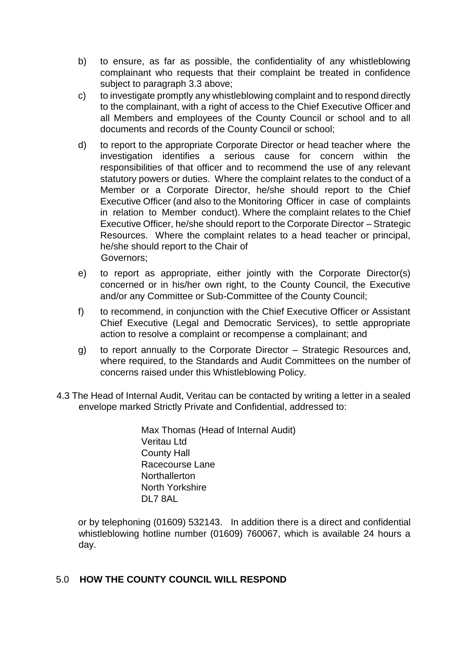- b) to ensure, as far as possible, the confidentiality of any whistleblowing complainant who requests that their complaint be treated in confidence subject to paragraph 3.3 above;
- c) to investigate promptly any whistleblowing complaint and to respond directly to the complainant, with a right of access to the Chief Executive Officer and all Members and employees of the County Council or school and to all documents and records of the County Council or school;
- d) to report to the appropriate Corporate Director or head teacher where the investigation identifies a serious cause for concern within the responsibilities of that officer and to recommend the use of any relevant statutory powers or duties. Where the complaint relates to the conduct of a Member or a Corporate Director, he/she should report to the Chief Executive Officer (and also to the Monitoring Officer in case of complaints in relation to Member conduct). Where the complaint relates to the Chief Executive Officer, he/she should report to the Corporate Director – Strategic Resources. Where the complaint relates to a head teacher or principal, he/she should report to the Chair of Governors;
- e) to report as appropriate, either jointly with the Corporate Director(s) concerned or in his/her own right, to the County Council, the Executive and/or any Committee or Sub-Committee of the County Council;
- f) to recommend, in conjunction with the Chief Executive Officer or Assistant Chief Executive (Legal and Democratic Services), to settle appropriate action to resolve a complaint or recompense a complainant; and
- g) to report annually to the Corporate Director Strategic Resources and, where required, to the Standards and Audit Committees on the number of concerns raised under this Whistleblowing Policy.
- 4.3 The Head of Internal Audit, Veritau can be contacted by writing a letter in a sealed envelope marked Strictly Private and Confidential, addressed to:

Max Thomas (Head of Internal Audit) Veritau Ltd County Hall Racecourse Lane **Northallerton** North Yorkshire DL7 8AL

or by telephoning (01609) 532143. In addition there is a direct and confidential whistleblowing hotline number (01609) 760067, which is available 24 hours a day.

#### 5.0 **HOW THE COUNTY COUNCIL WILL RESPOND**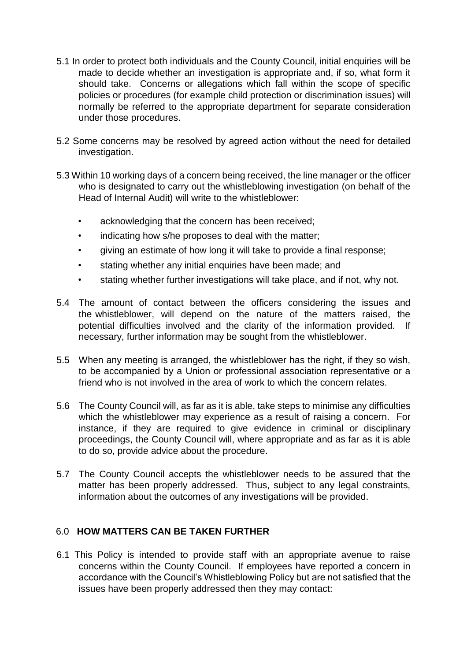- 5.1 In order to protect both individuals and the County Council, initial enquiries will be made to decide whether an investigation is appropriate and, if so, what form it should take. Concerns or allegations which fall within the scope of specific policies or procedures (for example child protection or discrimination issues) will normally be referred to the appropriate department for separate consideration under those procedures.
- 5.2 Some concerns may be resolved by agreed action without the need for detailed investigation.
- 5.3 Within 10 working days of a concern being received, the line manager or the officer who is designated to carry out the whistleblowing investigation (on behalf of the Head of Internal Audit) will write to the whistleblower:
	- acknowledging that the concern has been received;
	- indicating how s/he proposes to deal with the matter;
	- giving an estimate of how long it will take to provide a final response;
	- stating whether any initial enquiries have been made; and
	- stating whether further investigations will take place, and if not, why not.
- 5.4 The amount of contact between the officers considering the issues and the whistleblower, will depend on the nature of the matters raised, the potential difficulties involved and the clarity of the information provided. If necessary, further information may be sought from the whistleblower.
- 5.5 When any meeting is arranged, the whistleblower has the right, if they so wish, to be accompanied by a Union or professional association representative or a friend who is not involved in the area of work to which the concern relates.
- 5.6 The County Council will, as far as it is able, take steps to minimise any difficulties which the whistleblower may experience as a result of raising a concern. For instance, if they are required to give evidence in criminal or disciplinary proceedings, the County Council will, where appropriate and as far as it is able to do so, provide advice about the procedure.
- 5.7 The County Council accepts the whistleblower needs to be assured that the matter has been properly addressed. Thus, subject to any legal constraints, information about the outcomes of any investigations will be provided.

## 6.0 **HOW MATTERS CAN BE TAKEN FURTHER**

6.1 This Policy is intended to provide staff with an appropriate avenue to raise concerns within the County Council. If employees have reported a concern in accordance with the Council's Whistleblowing Policy but are not satisfied that the issues have been properly addressed then they may contact: